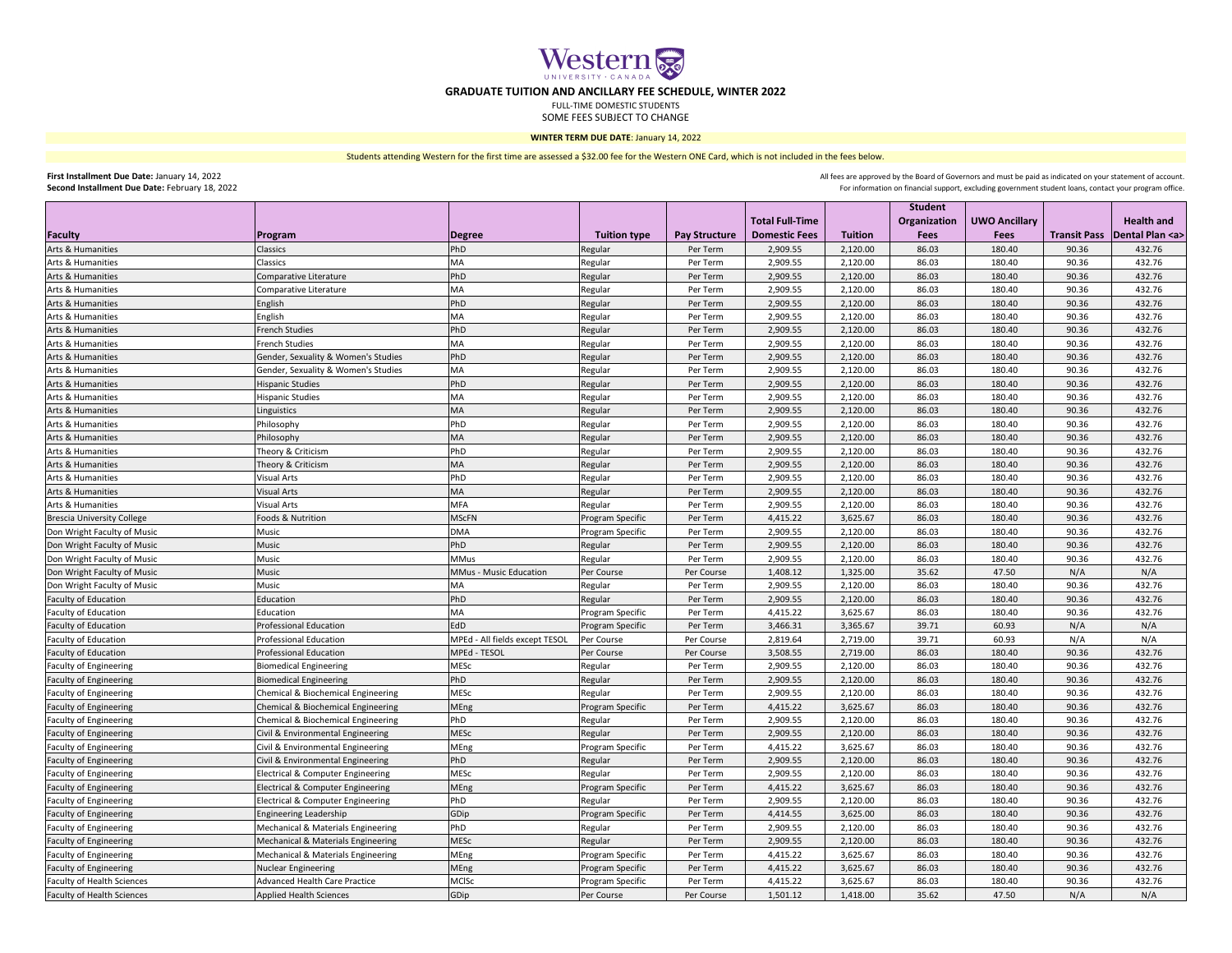|                                   |                                               |                                |                         |                      |                        |                | <b>Student</b> |                      |       |                                           |
|-----------------------------------|-----------------------------------------------|--------------------------------|-------------------------|----------------------|------------------------|----------------|----------------|----------------------|-------|-------------------------------------------|
|                                   |                                               |                                |                         |                      | <b>Total Full-Time</b> |                | Organization   | <b>UWO Ancillary</b> |       | <b>Health and</b>                         |
| Faculty                           | <b>Program</b>                                | Degree                         | <b>Tuition type</b>     | <b>Pay Structure</b> | <b>Domestic Fees</b>   | <b>Tuition</b> | <b>Fees</b>    | <b>Fees</b>          |       | <b>Transit Pass   Dental Plan <a></a></b> |
| Arts & Humanities                 | <b>Classics</b>                               | PhD                            | Regular                 | Per Term             | 2,909.55               | 2,120.00       | 86.03          | 180.40               | 90.36 | 432.76                                    |
| Arts & Humanities                 | <b>Classics</b>                               | MA                             | Regular                 | Per Term             | 2,909.55               | 2,120.00       | 86.03          | 180.40               | 90.36 | 432.76                                    |
| Arts & Humanities                 | Comparative Literature                        | PhD                            | Regular                 | Per Term             | 2,909.55               | 2,120.00       | 86.03          | 180.40               | 90.36 | 432.76                                    |
| Arts & Humanities                 | Comparative Literature                        | MA                             | Regular                 | Per Term             | 2,909.55               | 2,120.00       | 86.03          | 180.40               | 90.36 | 432.76                                    |
| Arts & Humanities                 | English                                       | PhD                            | Regular                 | Per Term             | 2,909.55               | 2,120.00       | 86.03          | 180.40               | 90.36 | 432.76                                    |
| Arts & Humanities                 | English                                       | MA                             | Regular                 | Per Term             | 2,909.55               | 2,120.00       | 86.03          | 180.40               | 90.36 | 432.76                                    |
| Arts & Humanities                 | <b>French Studies</b>                         | PhD                            | Regular                 | Per Term             | 2,909.55               | 2,120.00       | 86.03          | 180.40               | 90.36 | 432.76                                    |
| Arts & Humanities                 | <b>French Studies</b>                         | <b>MA</b>                      | Regular                 | Per Term             | 2,909.55               | 2,120.00       | 86.03          | 180.40               | 90.36 | 432.76                                    |
| Arts & Humanities                 | Gender, Sexuality & Women's Studies           | PhD                            | Regular                 | Per Term             | 2,909.55               | 2,120.00       | 86.03          | 180.40               | 90.36 | 432.76                                    |
| Arts & Humanities                 | Gender, Sexuality & Women's Studies           | <b>MA</b>                      | Regular                 | Per Term             | 2,909.55               | 2,120.00       | 86.03          | 180.40               | 90.36 | 432.76                                    |
| Arts & Humanities                 | <b>Hispanic Studies</b>                       | PhD                            | Regular                 | Per Term             | 2,909.55               | 2,120.00       | 86.03          | 180.40               | 90.36 | 432.76                                    |
| Arts & Humanities                 | Hispanic Studies                              | MA                             | Regular                 | Per Term             | 2,909.55               | 2,120.00       | 86.03          | 180.40               | 90.36 | 432.76                                    |
| Arts & Humanities                 | Linguistics                                   | <b>MA</b>                      | Regular                 | Per Term             | 2,909.55               | 2,120.00       | 86.03          | 180.40               | 90.36 | 432.76                                    |
| Arts & Humanities                 | Philosophy                                    | PhD                            | Regular                 | Per Term             | 2,909.55               | 2,120.00       | 86.03          | 180.40               | 90.36 | 432.76                                    |
| Arts & Humanities                 | Philosophy                                    | <b>MA</b>                      | Regular                 | Per Term             | 2,909.55               | 2,120.00       | 86.03          | 180.40               | 90.36 | 432.76                                    |
| Arts & Humanities                 | Theory & Criticism                            | PhD                            | Regular                 | Per Term             | 2,909.55               | 2,120.00       | 86.03          | 180.40               | 90.36 | 432.76                                    |
| Arts & Humanities                 | Theory & Criticism                            | <b>MA</b>                      | Regular                 | Per Term             | 2,909.55               | 2,120.00       | 86.03          | 180.40               | 90.36 | 432.76                                    |
| Arts & Humanities                 | <b>Visual Arts</b>                            | PhD                            | Regular                 | Per Term             | 2,909.55               | 2,120.00       | 86.03          | 180.40               | 90.36 | 432.76                                    |
| Arts & Humanities                 | <b>Visual Arts</b>                            | <b>MA</b>                      | Regular                 | Per Term             | 2,909.55               | 2,120.00       | 86.03          | 180.40               | 90.36 | 432.76                                    |
| Arts & Humanities                 | <b>Visual Arts</b>                            | <b>MFA</b>                     | Regular                 | Per Term             | 2,909.55               | 2,120.00       | 86.03          | 180.40               | 90.36 | 432.76                                    |
| <b>Brescia University College</b> | Foods & Nutrition                             | <b>MScFN</b>                   | <b>Program Specific</b> | Per Term             | 4,415.22               | 3,625.67       | 86.03          | 180.40               | 90.36 | 432.76                                    |
| Don Wright Faculty of Music       | <b>Music</b>                                  | <b>DMA</b>                     | Program Specific        | Per Term             | 2,909.55               | 2,120.00       | 86.03          | 180.40               | 90.36 | 432.76                                    |
| Don Wright Faculty of Music       | Music                                         | PhD                            | Regular                 | Per Term             | 2,909.55               | 2,120.00       | 86.03          | 180.40               | 90.36 | 432.76                                    |
| Don Wright Faculty of Music       | <b>Music</b>                                  | <b>MMus</b>                    | Regular                 | Per Term             | 2,909.55               | 2,120.00       | 86.03          | 180.40               | 90.36 | 432.76                                    |
| Don Wright Faculty of Music       | <b>Music</b>                                  | <b>MMus - Music Education</b>  | Per Course              | Per Course           | 1,408.12               | 1,325.00       | 35.62          | 47.50                | N/A   | N/A                                       |
| Don Wright Faculty of Music       | Music                                         | MA                             | Regular                 | Per Term             | 2,909.55               | 2,120.00       | 86.03          | 180.40               | 90.36 | 432.76                                    |
| <b>Faculty of Education</b>       | Education                                     | PhD                            | Regular                 | Per Term             | 2,909.55               | 2,120.00       | 86.03          | 180.40               | 90.36 | 432.76                                    |
| <b>Faculty of Education</b>       | Education                                     | МA                             | <b>Program Specific</b> | Per Term             | 4,415.22               | 3,625.67       | 86.03          | 180.40               | 90.36 | 432.76                                    |
| <b>Faculty of Education</b>       | <b>Professional Education</b>                 | EdD                            | <b>Program Specific</b> | Per Term             | 3,466.31               | 3,365.67       | 39.71          | 60.93                | N/A   | N/A                                       |
|                                   | <b>Professional Education</b>                 | MPEd - All fields except TESOL |                         | Per Course           |                        | 2,719.00       | 39.71          | 60.93                | N/A   | N/A                                       |
| <b>Faculty of Education</b>       | <b>Professional Education</b>                 | <b>MPEd - TESOL</b>            | Per Course              | Per Course           | 2,819.64               | 2,719.00       |                | 180.40               | 90.36 | 432.76                                    |
| <b>Faculty of Education</b>       |                                               | <b>MESc</b>                    | Per Course              | Per Term             | 3,508.55               | 2,120.00       | 86.03<br>86.03 | 180.40               | 90.36 | 432.76                                    |
| <b>Faculty of Engineering</b>     | <b>Biomedical Engineering</b>                 | PhD                            | Regular                 |                      | 2,909.55               |                |                |                      |       |                                           |
| <b>Faculty of Engineering</b>     | <b>Biomedical Engineering</b>                 | <b>MESC</b>                    | Regular                 | Per Term             | 2,909.55               | 2,120.00       | 86.03          | 180.40               | 90.36 | 432.76                                    |
| <b>Faculty of Engineering</b>     | <b>Chemical &amp; Biochemical Engineering</b> |                                | Regular                 | Per Term             | 2,909.55               | 2,120.00       | 86.03          | 180.40               | 90.36 | 432.76                                    |
| <b>Faculty of Engineering</b>     | Chemical & Biochemical Engineering            | MEng<br>PhD                    | <b>Program Specific</b> | Per Term             | 4,415.22               | 3,625.67       | 86.03          | 180.40               | 90.36 | 432.76                                    |
| <b>Faculty of Engineering</b>     | <b>Chemical &amp; Biochemical Engineering</b> |                                | Regular                 | Per Term             | 2,909.55               | 2,120.00       | 86.03          | 180.40               | 90.36 | 432.76                                    |
| <b>Faculty of Engineering</b>     | Civil & Environmental Engineering             | <b>MESC</b>                    | Regular                 | Per Term             | 2,909.55               | 2,120.00       | 86.03          | 180.40               | 90.36 | 432.76                                    |
| <b>Faculty of Engineering</b>     | <b>Civil &amp; Environmental Engineering</b>  | <b>MEng</b>                    | <b>Program Specific</b> | Per Term             | 4,415.22               | 3,625.67       | 86.03          | 180.40               | 90.36 | 432.76                                    |
| <b>Faculty of Engineering</b>     | Civil & Environmental Engineering             | PhD                            | Regular                 | Per Term             | 2,909.55               | 2,120.00       | 86.03          | 180.40               | 90.36 | 432.76                                    |
| <b>Faculty of Engineering</b>     | <b>Electrical &amp; Computer Engineering</b>  | <b>MESC</b>                    | Regular                 | Per Term             | 2,909.55               | 2,120.00       | 86.03          | 180.40               | 90.36 | 432.76                                    |
| <b>Faculty of Engineering</b>     | <b>Electrical &amp; Computer Engineering</b>  | MEng                           | <b>Program Specific</b> | Per Term             | 4,415.22               | 3,625.67       | 86.03          | 180.40               | 90.36 | 432.76                                    |
| <b>Faculty of Engineering</b>     | <b>Electrical &amp; Computer Engineering</b>  | PhD                            | Regular                 | Per Term             | 2,909.55               | 2,120.00       | 86.03          | 180.40               | 90.36 | 432.76                                    |
| Faculty of Engineering            | Engineering Leadership                        | GDip                           | <b>Program Specific</b> | Per Term             | 4,414.55               | 3,625.00       | 86.03          | 180.40               | 90.36 | 432.76                                    |
| <b>Faculty of Engineering</b>     | Mechanical & Materials Engineering            | PhD                            | Regular                 | Per Term             | 2,909.55               | 2,120.00       | 86.03          | 180.40               | 90.36 | 432.76                                    |
| <b>Faculty of Engineering</b>     | Mechanical & Materials Engineering            | <b>MESC</b>                    | Regular                 | Per Term             | 2,909.55               | 2,120.00       | 86.03          | 180.40               | 90.36 | 432.76                                    |
| <b>Faculty of Engineering</b>     | Mechanical & Materials Engineering            | MEng                           | <b>Program Specific</b> | Per Term             | 4,415.22               | 3,625.67       | 86.03          | 180.40               | 90.36 | 432.76                                    |
| <b>Faculty of Engineering</b>     | Nuclear Engineering                           | MEng                           | <b>Program Specific</b> | Per Term             | 4,415.22               | 3,625.67       | 86.03          | 180.40               | 90.36 | 432.76                                    |
| <b>Faculty of Health Sciences</b> | <b>Advanced Health Care Practice</b>          | <b>MCISc</b>                   | <b>Program Specific</b> | Per Term             | 4,415.22               | 3,625.67       | 86.03          | 180.40               | 90.36 | 432.76                                    |
| <b>Faculty of Health Sciences</b> | <b>Applied Health Sciences</b>                | GDip                           | Per Course              | Per Course           | 1,501.12               | 1,418.00       | 35.62          | 47.50                | N/A   | N/A                                       |

Western &

## **GRADUATE TUITION AND ANCILLARY FEE SCHEDULE, WINTER 2022**

FULL-TIME DOMESTIC STUDENTS

SOME FEES SUBJECT TO CHANGE

**First Installment Due Date:** January 14, 2022 **Second Installment Due Date:** February 18, 2022

For information on financial support, excluding government student loans, contact your program office. All fees are approved by the Board of Governors and must be paid as indicated on your statement of account.

Students attending Western for the first time are assessed a \$32.00 fee for the Western ONE Card, which is not included in the fees below.

## **WINTER TERM DUE DATE**: January 14, 2022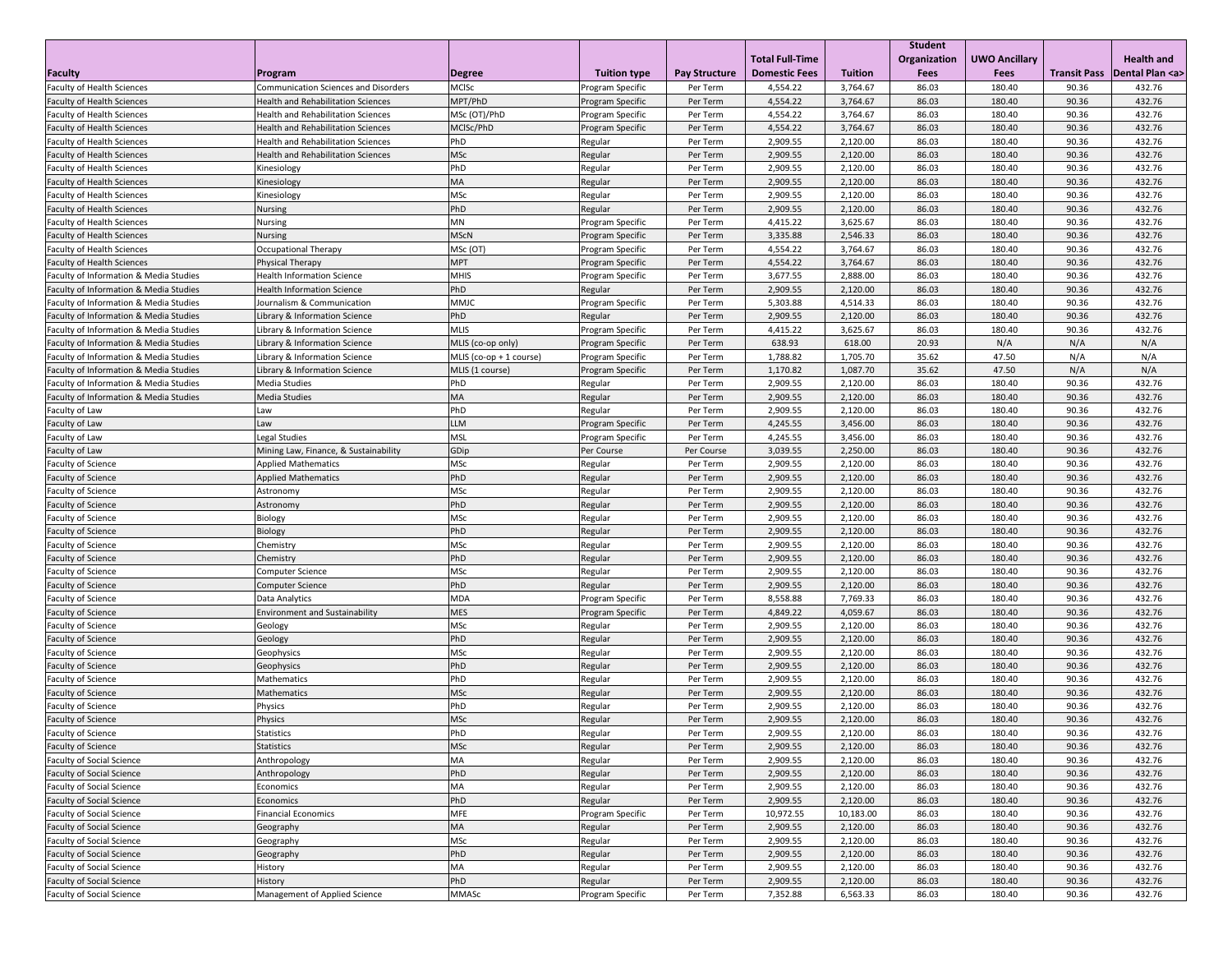|                                                   |                                             |                           |                         |                      |                        |                | <b>Student</b> |                      |                     |                     |
|---------------------------------------------------|---------------------------------------------|---------------------------|-------------------------|----------------------|------------------------|----------------|----------------|----------------------|---------------------|---------------------|
|                                                   |                                             |                           |                         |                      | <b>Total Full-Time</b> |                | Organization   | <b>UWO Ancillary</b> |                     | <b>Health and</b>   |
| Faculty                                           | Program                                     | <b>Degree</b>             | <b>Tuition type</b>     | <b>Pay Structure</b> | <b>Domestic Fees</b>   | <b>Tuition</b> | <b>Fees</b>    | <b>Fees</b>          | <b>Transit Pass</b> | Dental Plan <a></a> |
| <b>Faculty of Health Sciences</b>                 | <b>Communication Sciences and Disorders</b> | <b>MCISc</b>              | Program Specific        | Per Term             | 4,554.22               | 3,764.67       | 86.03          | 180.40               | 90.36               | 432.76              |
| <b>Faculty of Health Sciences</b>                 | <b>Health and Rehabilitation Sciences</b>   | MPT/PhD                   | <b>Program Specific</b> | Per Term             | 4,554.22               | 3,764.67       | 86.03          | 180.40               | 90.36               | 432.76              |
| <b>Faculty of Health Sciences</b>                 | <b>Health and Rehabilitation Sciences</b>   | MSc (OT)/PhD              | Program Specific        | Per Term             | 4,554.22               | 3,764.67       | 86.03          | 180.40               | 90.36               | 432.76              |
| <b>Faculty of Health Sciences</b>                 | <b>Health and Rehabilitation Sciences</b>   | MCISc/PhD                 | Program Specific        | Per Term             | 4,554.22               | 3,764.67       | 86.03          | 180.40               | 90.36               | 432.76              |
| <b>Faculty of Health Sciences</b>                 | <b>Health and Rehabilitation Sciences</b>   | <b>PhD</b>                | Regular                 | Per Term             | 2,909.55               | 2,120.00       | 86.03          | 180.40               | 90.36               | 432.76              |
| <b>Faculty of Health Sciences</b>                 | <b>Health and Rehabilitation Sciences</b>   | MSc                       | Regular                 | Per Term             | 2,909.55               | 2,120.00       | 86.03          | 180.40               | 90.36               | 432.76              |
| <b>Faculty of Health Sciences</b>                 | Kinesiology                                 | PhD                       | Regular                 | Per Term             | 2,909.55               | 2,120.00       | 86.03          | 180.40               | 90.36               | 432.76              |
| <b>Faculty of Health Sciences</b>                 | Kinesiology                                 | <b>MA</b>                 | Regular                 | Per Term             | 2,909.55               | 2,120.00       | 86.03          | 180.40               | 90.36               | 432.76              |
| <b>Faculty of Health Sciences</b>                 | Kinesiology                                 | <b>MSc</b>                | Regular                 | Per Term             | 2,909.55               | 2,120.00       | 86.03          | 180.40               | 90.36               | 432.76              |
| <b>Faculty of Health Sciences</b>                 | <b>Nursing</b>                              | PhD                       | Regular                 | Per Term             | 2,909.55               | 2,120.00       | 86.03          | 180.40               | 90.36               | 432.76              |
| <b>Faculty of Health Sciences</b>                 | Nursing                                     | MN                        | Program Specific        | Per Term             | 4,415.22               | 3,625.67       | 86.03          | 180.40               | 90.36               | 432.76              |
| <b>Faculty of Health Sciences</b>                 | <b>Nursing</b>                              | <b>MScN</b>               | <b>Program Specific</b> | Per Term             | 3,335.88               | 2,546.33       | 86.03          | 180.40               | 90.36               | 432.76              |
| <b>Faculty of Health Sciences</b>                 | <b>Occupational Therapy</b>                 | MSc (OT)                  | Program Specific        | Per Term             | 4,554.22               | 3,764.67       | 86.03          | 180.40               | 90.36               | 432.76              |
| <b>Faculty of Health Sciences</b>                 | Physical Therapy                            | <b>MPT</b>                | <b>Program Specific</b> | Per Term             | 4,554.22               | 3,764.67       | 86.03          | 180.40               | 90.36               | 432.76              |
| <b>Faculty of Information &amp; Media Studies</b> | <b>Health Information Science</b>           | <b>MHIS</b>               | Program Specific        | Per Term             | 3,677.55               | 2,888.00       | 86.03          | 180.40               | 90.36               | 432.76              |
| <b>Faculty of Information &amp; Media Studies</b> | <b>Health Information Science</b>           | PhD                       | Regular                 | Per Term             | 2,909.55               | 2,120.00       | 86.03          | 180.40               | 90.36               | 432.76              |
| <b>Faculty of Information &amp; Media Studies</b> | Journalism & Communication                  | MMJC                      | <b>Program Specific</b> | Per Term             | 5,303.88               | 4,514.33       | 86.03          | 180.40               | 90.36               | 432.76              |
| <b>Faculty of Information &amp; Media Studies</b> | Library & Information Science               | PhD                       | Regular                 | Per Term             | 2,909.55               | 2,120.00       | 86.03          | 180.40               | 90.36               | 432.76              |
| <b>Faculty of Information &amp; Media Studies</b> | Library & Information Science               | <b>MLIS</b>               | <b>Program Specific</b> | Per Term             | 4,415.22               | 3,625.67       | 86.03          | 180.40               | 90.36               | 432.76              |
| Faculty of Information & Media Studies            | Library & Information Science               | MLIS (co-op only)         | <b>Program Specific</b> | Per Term             | 638.93                 | 618.00         | 20.93          | N/A                  | N/A                 | N/A                 |
| <b>Faculty of Information &amp; Media Studies</b> | Library & Information Science               | MLIS $(co-op + 1 course)$ | <b>Program Specific</b> | Per Term             | 1,788.82               | 1,705.70       | 35.62          | 47.50                | N/A                 | N/A                 |
| <b>Faculty of Information &amp; Media Studies</b> | Library & Information Science               | MLIS (1 course)           | <b>Program Specific</b> | Per Term             | 1,170.82               | 1,087.70       | 35.62          | 47.50                | N/A                 | N/A                 |
| <b>Faculty of Information &amp; Media Studies</b> | Media Studies                               | PhD                       | Regular                 | Per Term             | 2,909.55               | 2,120.00       | 86.03          | 180.40               | 90.36               | 432.76              |
| <b>Faculty of Information &amp; Media Studies</b> | Media Studies                               | <b>MA</b>                 | Regular                 | Per Term             | 2,909.55               | 2,120.00       | 86.03          | 180.40               | 90.36               | 432.76              |
| <b>Faculty of Law</b>                             | Law                                         | PhD                       | Regular                 | Per Term             | 2,909.55               | 2,120.00       | 86.03          | 180.40               | 90.36               | 432.76              |
| Faculty of Law                                    | Law                                         | <b>LLM</b>                | Program Specific        | Per Term             | 4,245.55               | 3,456.00       | 86.03          | 180.40               | 90.36               | 432.76              |
| Faculty of Law                                    | Legal Studies                               | <b>MSL</b>                | <b>Program Specific</b> | Per Term             | 4,245.55               | 3,456.00       | 86.03          | 180.40               | 90.36               | 432.76              |
| Faculty of Law                                    | Mining Law, Finance, & Sustainability       | GDip                      | Per Course              | Per Course           | 3,039.55               | 2,250.00       | 86.03          | 180.40               | 90.36               | 432.76              |
| <b>Faculty of Science</b>                         | <b>Applied Mathematics</b>                  | <b>MSc</b>                | Regular                 | Per Term             | 2,909.55               | 2,120.00       | 86.03          | 180.40               | 90.36               | 432.76              |
| <b>Faculty of Science</b>                         | <b>Applied Mathematics</b>                  | PhD                       | Regular                 | Per Term             | 2,909.55               | 2,120.00       | 86.03          | 180.40               | 90.36               | 432.76              |
| <b>Faculty of Science</b>                         | Astronomy                                   | <b>MSc</b>                | Regular                 | Per Term             | 2,909.55               | 2,120.00       | 86.03          | 180.40               | 90.36               | 432.76              |
| <b>Faculty of Science</b>                         | Astronomy                                   | PhD                       | Regular                 | Per Term             | 2,909.55               | 2,120.00       | 86.03          | 180.40               | 90.36               | 432.76              |
| <b>Faculty of Science</b>                         | Biology                                     | <b>MSc</b>                | Regular                 | Per Term             | 2,909.55               | 2,120.00       | 86.03          | 180.40               | 90.36               | 432.76              |
| <b>Faculty of Science</b>                         | Biology                                     | <b>PhD</b>                | Regular                 | Per Term             | 2,909.55               | 2,120.00       | 86.03          | 180.40               | 90.36               | 432.76              |
| <b>Faculty of Science</b>                         | Chemistry                                   | <b>MSc</b>                | Regular                 | Per Term             | 2,909.55               | 2,120.00       | 86.03          | 180.40               | 90.36               | 432.76              |
| <b>Faculty of Science</b>                         | Chemistry                                   | PhD                       | Regular                 | Per Term             | 2,909.55               | 2,120.00       | 86.03          | 180.40               | 90.36               | 432.76              |
| Faculty of Science                                | <b>Computer Science</b>                     | <b>MSc</b>                | Regular                 | Per Term             | 2,909.55               | 2,120.00       | 86.03          | 180.40               | 90.36               | 432.76              |
| <b>Faculty of Science</b>                         | <b>Computer Science</b>                     | PhD                       | Regular                 | Per Term             | 2,909.55               | 2,120.00       | 86.03          | 180.40               | 90.36               | 432.76              |
| <b>Faculty of Science</b>                         | Data Analytics                              | <b>MDA</b>                | <b>Program Specific</b> | Per Term             | 8,558.88               | 7,769.33       | 86.03          | 180.40               | 90.36               | 432.76              |
| <b>Faculty of Science</b>                         | <b>Environment and Sustainability</b>       | <b>MES</b>                | <b>Program Specific</b> | Per Term             | 4,849.22               | 4,059.67       | 86.03          | 180.40               | 90.36               | 432.76              |
| <b>Faculty of Science</b>                         | Geology                                     | <b>MSc</b>                | Regular                 | Per Term             | 2,909.55               | 2,120.00       | 86.03          | 180.40               | 90.36               | 432.76              |
| <b>Faculty of Science</b>                         | Geology                                     | PhD                       | Regular                 | Per Term             | 2,909.55               | 2,120.00       | 86.03          | 180.40               | 90.36               | 432.76              |
| <b>Faculty of Science</b>                         | Geophysics                                  | <b>MSc</b>                | Regular                 | Per Term             | 2,909.55               | 2,120.00       | 86.03          | 180.40               | 90.36               | 432.76              |
| <b>Faculty of Science</b>                         | Geophysics                                  | PhD                       | Regular                 | Per Term             | 2,909.55               | 2,120.00       | 86.03          | 180.40               | 90.36               | 432.76              |
| <b>Faculty of Science</b>                         | Mathematics                                 | PhD                       | Regular                 | Per Term             | 2,909.55               | 2,120.00       | 86.03          | 180.40               | 90.36               | 432.76              |
| <b>Faculty of Science</b>                         | Mathematics                                 | <b>MSc</b>                | Regular                 | Per Term             | 2,909.55               | 2,120.00       | 86.03          | 180.40               | 90.36               | 432.76              |
| Faculty of Science                                | Physics                                     | PhD                       | Regular                 | Per Term             | 2,909.55               | 2,120.00       | 86.03          | 180.40               | 90.36               | 432.76              |
| <b>Faculty of Science</b>                         | Physics                                     | <b>MSc</b>                | Regular                 | Per Term             | 2,909.55               | 2,120.00       | 86.03          | 180.40               | 90.36               | 432.76              |
| <b>Faculty of Science</b>                         | <b>Statistics</b>                           | PhD                       | Regular                 | Per Term             | 2,909.55               | 2,120.00       | 86.03          | 180.40               | 90.36               | 432.76              |
| <b>Faculty of Science</b>                         | <b>Statistics</b>                           | <b>MSc</b>                | Regular                 | Per Term             | 2,909.55               | 2,120.00       | 86.03          | 180.40               | 90.36               | 432.76              |
| <b>Faculty of Social Science</b>                  | Anthropology                                | MA                        | Regular                 | Per Term             | 2,909.55               | 2,120.00       | 86.03          | 180.40               | 90.36               | 432.76              |
| <b>Faculty of Social Science</b>                  | Anthropology                                | PhD                       | Regular                 | Per Term             | 2,909.55               | 2,120.00       | 86.03          | 180.40               | 90.36               | 432.76              |
| <b>Faculty of Social Science</b>                  | Economics                                   | MA                        | Regular                 | Per Term             | 2,909.55               | 2,120.00       | 86.03          | 180.40               | 90.36               | 432.76              |
| <b>Faculty of Social Science</b>                  | <b>Economics</b>                            | <b>PhD</b>                | Regular                 | Per Term             | 2,909.55               | 2,120.00       | 86.03          | 180.40               | 90.36               | 432.76              |
| <b>Faculty of Social Science</b>                  | <b>Financial Economics</b>                  | <b>MFE</b>                | Program Specific        | Per Term             | 10,972.55              | 10,183.00      | 86.03          | 180.40               | 90.36               | 432.76              |
| <b>Faculty of Social Science</b>                  | Geography                                   | <b>MA</b>                 | Regular                 | Per Term             | 2,909.55               | 2,120.00       | 86.03          | 180.40               | 90.36               | 432.76              |
| <b>Faculty of Social Science</b>                  | Geography                                   | <b>MSc</b>                | Regular                 | Per Term             | 2,909.55               | 2,120.00       | 86.03          | 180.40               | 90.36               | 432.76              |
| <b>Faculty of Social Science</b>                  | Geography                                   | PhD                       | Regular                 | Per Term             | 2,909.55               | 2,120.00       | 86.03          | 180.40               | 90.36               | 432.76              |
| <b>Faculty of Social Science</b>                  | History                                     | МA                        | Regular                 | Per Term             | 2,909.55               | 2,120.00       | 86.03          | 180.40               | 90.36               | 432.76              |
| <b>Faculty of Social Science</b>                  | History                                     | PhD                       | Regular                 | Per Term             | 2,909.55               | 2,120.00       | 86.03          | 180.40               | 90.36               | 432.76              |
| <b>Faculty of Social Science</b>                  | Management of Applied Science               | MMASc                     | <b>Program Specific</b> | Per Term             | 7,352.88               | 6,563.33       | 86.03          | 180.40               | 90.36               | 432.76              |